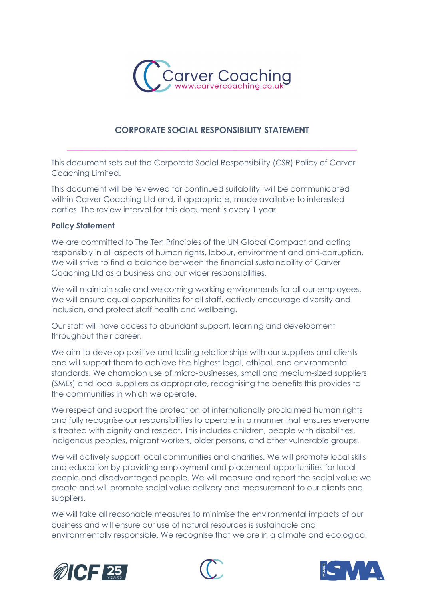

# CORPORATE SOCIAL RESPONSIBILITY STATEMENT

\_\_\_\_\_\_\_\_\_\_\_\_\_\_\_\_\_\_\_\_\_\_\_\_\_\_\_\_\_\_\_\_\_\_\_\_\_\_\_\_\_\_\_\_\_\_\_\_\_\_\_\_\_\_\_\_\_\_\_\_\_\_\_\_\_\_\_\_\_\_\_\_\_\_

This document sets out the Corporate Social Responsibility (CSR) Policy of Carver Coaching Limited.

This document will be reviewed for continued suitability, will be communicated within Carver Coaching Ltd and, if appropriate, made available to interested parties. The review interval for this document is every 1 year.

#### Policy Statement

We are committed to The Ten Principles of the UN Global Compact and acting responsibly in all aspects of human rights, labour, environment and anti-corruption. We will strive to find a balance between the financial sustainability of Carver Coaching Ltd as a business and our wider responsibilities.

We will maintain safe and welcoming working environments for all our employees. We will ensure equal opportunities for all staff, actively encourage diversity and inclusion, and protect staff health and wellbeing.

Our staff will have access to abundant support, learning and development throughout their career.

We aim to develop positive and lasting relationships with our suppliers and clients and will support them to achieve the highest legal, ethical, and environmental standards. We champion use of micro-businesses, small and medium-sized suppliers (SMEs) and local suppliers as appropriate, recognising the benefits this provides to the communities in which we operate.

We respect and support the protection of internationally proclaimed human rights and fully recognise our responsibilities to operate in a manner that ensures everyone is treated with dignity and respect. This includes children, people with disabilities, indigenous peoples, migrant workers, older persons, and other vulnerable groups.

We will actively support local communities and charities. We will promote local skills and education by providing employment and placement opportunities for local people and disadvantaged people. We will measure and report the social value we create and will promote social value delivery and measurement to our clients and suppliers.

We will take all reasonable measures to minimise the environmental impacts of our business and will ensure our use of natural resources is sustainable and environmentally responsible. We recognise that we are in a climate and ecological





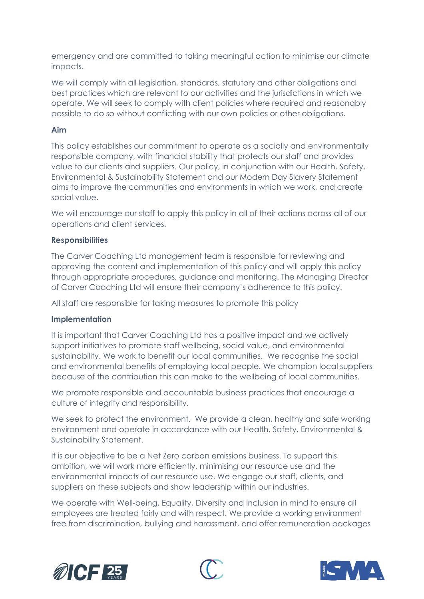emergency and are committed to taking meaningful action to minimise our climate impacts.

We will comply with all legislation, standards, statutory and other obligations and best practices which are relevant to our activities and the jurisdictions in which we operate. We will seek to comply with client policies where required and reasonably possible to do so without conflicting with our own policies or other obligations.

### Aim

This policy establishes our commitment to operate as a socially and environmentally responsible company, with financial stability that protects our staff and provides value to our clients and suppliers. Our policy, in conjunction with our Health, Safety, Environmental & Sustainability Statement and our Modern Day Slavery Statement aims to improve the communities and environments in which we work, and create social value.

We will encourage our staff to apply this policy in all of their actions across all of our operations and client services.

## **Responsibilities**

The Carver Coaching Ltd management team is responsible for reviewing and approving the content and implementation of this policy and will apply this policy through appropriate procedures, guidance and monitoring. The Managing Director of Carver Coaching Ltd will ensure their company's adherence to this policy.

All staff are responsible for taking measures to promote this policy

#### Implementation

It is important that Carver Coaching Ltd has a positive impact and we actively support initiatives to promote staff wellbeing, social value, and environmental sustainability. We work to benefit our local communities. We recognise the social and environmental benefits of employing local people. We champion local suppliers because of the contribution this can make to the wellbeing of local communities.

We promote responsible and accountable business practices that encourage a culture of integrity and responsibility.

We seek to protect the environment. We provide a clean, healthy and safe working environment and operate in accordance with our Health, Safety, Environmental & Sustainability Statement.

It is our objective to be a Net Zero carbon emissions business. To support this ambition, we will work more efficiently, minimising our resource use and the environmental impacts of our resource use. We engage our staff, clients, and suppliers on these subjects and show leadership within our industries.

We operate with Well-being, Equality, Diversity and Inclusion in mind to ensure all employees are treated fairly and with respect. We provide a working environment free from discrimination, bullying and harassment, and offer remuneration packages